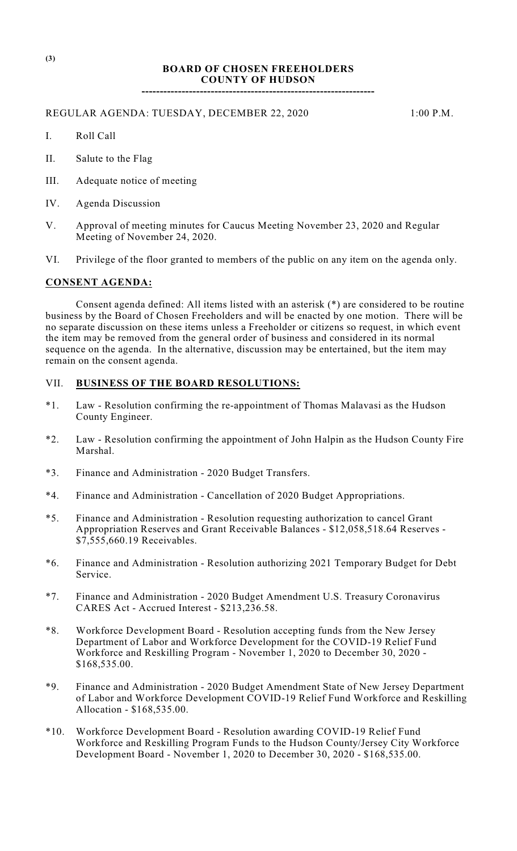## **BOARD OF CHOSEN FREEHOLDERS COUNTY OF HUDSON**

**----------------------------------------------------------------**

#### REGULAR AGENDA: TUESDAY, DECEMBER 22, 2020 1:00 P.M.

- I. Roll Call
- II. Salute to the Flag
- III. Adequate notice of meeting
- IV. Agenda Discussion
- V. Approval of meeting minutes for Caucus Meeting November 23, 2020 and Regular Meeting of November 24, 2020.
- VI. Privilege of the floor granted to members of the public on any item on the agenda only.

# **CONSENT AGENDA:**

Consent agenda defined: All items listed with an asterisk (\*) are considered to be routine business by the Board of Chosen Freeholders and will be enacted by one motion. There will be no separate discussion on these items unless a Freeholder or citizens so request, in which event the item may be removed from the general order of business and considered in its normal sequence on the agenda. In the alternative, discussion may be entertained, but the item may remain on the consent agenda.

### VII. **BUSINESS OF THE BOARD RESOLUTIONS:**

- \*1. Law Resolution confirming the re-appointment of Thomas Malavasi as the Hudson County Engineer.
- \*2. Law Resolution confirming the appointment of John Halpin as the Hudson County Fire Marshal.
- \*3. Finance and Administration 2020 Budget Transfers.
- \*4. Finance and Administration Cancellation of 2020 Budget Appropriations.
- \*5. Finance and Administration Resolution requesting authorization to cancel Grant Appropriation Reserves and Grant Receivable Balances - \$12,058,518.64 Reserves - \$7,555,660.19 Receivables.
- \*6. Finance and Administration Resolution authorizing 2021 Temporary Budget for Debt Service.
- \*7. Finance and Administration 2020 Budget Amendment U.S. Treasury Coronavirus CARES Act - Accrued Interest - \$213,236.58.
- \*8. Workforce Development Board Resolution accepting funds from the New Jersey Department of Labor and Workforce Development for the COVID-19 Relief Fund Workforce and Reskilling Program - November 1, 2020 to December 30, 2020 - \$168,535.00.
- \*9. Finance and Administration 2020 Budget Amendment State of New Jersey Department of Labor and Workforce Development COVID-19 Relief Fund Workforce and Reskilling Allocation - \$168,535.00.
- \*10. Workforce Development Board Resolution awarding COVID-19 Relief Fund Workforce and Reskilling Program Funds to the Hudson County/Jersey City Workforce Development Board - November 1, 2020 to December 30, 2020 - \$168,535.00.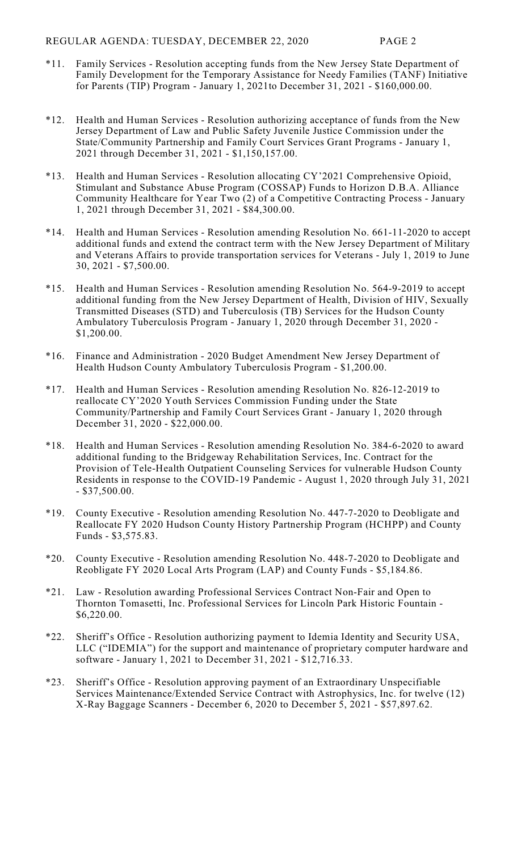- \*11. Family Services Resolution accepting funds from the New Jersey State Department of Family Development for the Temporary Assistance for Needy Families (TANF) Initiative for Parents (TIP) Program - January 1, 2021to December 31, 2021 - \$160,000.00.
- \*12. Health and Human Services Resolution authorizing acceptance of funds from the New Jersey Department of Law and Public Safety Juvenile Justice Commission under the State/Community Partnership and Family Court Services Grant Programs - January 1, 2021 through December 31, 2021 - \$1,150,157.00.
- \*13. Health and Human Services Resolution allocating CY'2021 Comprehensive Opioid, Stimulant and Substance Abuse Program (COSSAP) Funds to Horizon D.B.A. Alliance Community Healthcare for Year Two (2) of a Competitive Contracting Process - January 1, 2021 through December 31, 2021 - \$84,300.00.
- \*14. Health and Human Services Resolution amending Resolution No. 661-11-2020 to accept additional funds and extend the contract term with the New Jersey Department of Military and Veterans Affairs to provide transportation services for Veterans - July 1, 2019 to June 30, 2021 - \$7,500.00.
- \*15. Health and Human Services Resolution amending Resolution No. 564-9-2019 to accept additional funding from the New Jersey Department of Health, Division of HIV, Sexually Transmitted Diseases (STD) and Tuberculosis (TB) Services for the Hudson County Ambulatory Tuberculosis Program - January 1, 2020 through December 31, 2020 - \$1,200.00.
- \*16. Finance and Administration 2020 Budget Amendment New Jersey Department of Health Hudson County Ambulatory Tuberculosis Program - \$1,200.00.
- \*17. Health and Human Services Resolution amending Resolution No. 826-12-2019 to reallocate CY'2020 Youth Services Commission Funding under the State Community/Partnership and Family Court Services Grant - January 1, 2020 through December 31, 2020 - \$22,000.00.
- \*18. Health and Human Services Resolution amending Resolution No. 384-6-2020 to award additional funding to the Bridgeway Rehabilitation Services, Inc. Contract for the Provision of Tele-Health Outpatient Counseling Services for vulnerable Hudson County Residents in response to the COVID-19 Pandemic - August 1, 2020 through July 31, 2021 - \$37,500.00.
- \*19. County Executive Resolution amending Resolution No. 447-7-2020 to Deobligate and Reallocate FY 2020 Hudson County History Partnership Program (HCHPP) and County Funds - \$3,575.83.
- \*20. County Executive Resolution amending Resolution No. 448-7-2020 to Deobligate and Reobligate FY 2020 Local Arts Program (LAP) and County Funds - \$5,184.86.
- \*21. Law Resolution awarding Professional Services Contract Non-Fair and Open to Thornton Tomasetti, Inc. Professional Services for Lincoln Park Historic Fountain - \$6,220.00.
- \*22. Sheriff's Office Resolution authorizing payment to Idemia Identity and Security USA, LLC ("IDEMIA") for the support and maintenance of proprietary computer hardware and software - January 1, 2021 to December 31, 2021 - \$12,716.33.
- \*23. Sheriff's Office Resolution approving payment of an Extraordinary Unspecifiable Services Maintenance/Extended Service Contract with Astrophysics, Inc. for twelve (12) X-Ray Baggage Scanners - December 6, 2020 to December 5, 2021 - \$57,897.62.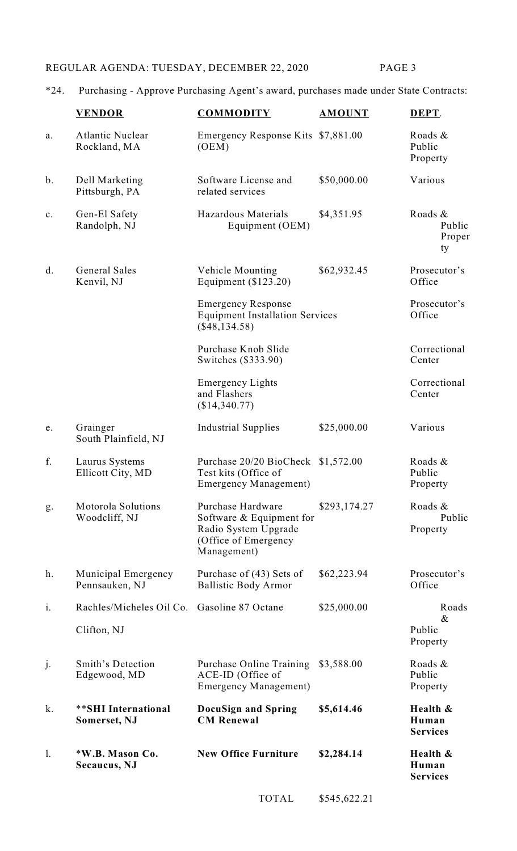# REGULAR AGENDA: TUESDAY, DECEMBER 22, 2020 PAGE 3

# \*24. Purchasing - Approve Purchasing Agent's award, purchases made under State Contracts:

|                | <b>VENDOR</b>                           | <b>COMMODITY</b>                                                                                               | <b>AMOUNT</b> | DEPT.                                |
|----------------|-----------------------------------------|----------------------------------------------------------------------------------------------------------------|---------------|--------------------------------------|
| a.             | <b>Atlantic Nuclear</b><br>Rockland, MA | Emergency Response Kits \$7,881.00<br>(OEM)                                                                    |               | Roads &<br>Public<br>Property        |
| $b$ .          | Dell Marketing<br>Pittsburgh, PA        | Software License and<br>related services                                                                       | \$50,000.00   | Various                              |
| c.             | Gen-El Safety<br>Randolph, NJ           | Hazardous Materials<br>Equipment (OEM)                                                                         | \$4,351.95    | Roads &<br>Public<br>Proper<br>ty    |
| d.             | <b>General Sales</b><br>Kenvil, NJ      | Vehicle Mounting<br>Equipment $(\$123.20)$                                                                     | \$62,932.45   | Prosecutor's<br>Office               |
|                |                                         | <b>Emergency Response</b><br><b>Equipment Installation Services</b><br>$(\$48,134.58)$                         |               | Prosecutor's<br>Office               |
|                |                                         | Purchase Knob Slide<br>Switches (\$333.90)                                                                     |               | Correctional<br>Center               |
|                |                                         | <b>Emergency Lights</b><br>and Flashers<br>(\$14,340.77)                                                       |               | Correctional<br>Center               |
| e.             | Grainger<br>South Plainfield, NJ        | <b>Industrial Supplies</b>                                                                                     | \$25,000.00   | Various                              |
| f.             | Laurus Systems<br>Ellicott City, MD     | Purchase 20/20 BioCheck \$1,572.00<br>Test kits (Office of<br><b>Emergency Management</b> )                    |               | Roads &<br>Public<br>Property        |
| g.             | Motorola Solutions<br>Woodcliff, NJ     | Purchase Hardware<br>Software $&$ Equipment for<br>Radio System Upgrade<br>(Office of Emergency<br>Management) | \$293,174.27  | Roads &<br>Public<br>Property        |
| h.             | Municipal Emergency<br>Pennsauken, NJ   | Purchase of (43) Sets of<br><b>Ballistic Body Armor</b>                                                        | \$62,223.94   | Prosecutor's<br>Office               |
| i.             | Rachles/Micheles Oil Co.                | Gasoline 87 Octane                                                                                             | \$25,000.00   | Roads<br>$\&$                        |
|                | Clifton, NJ                             |                                                                                                                |               | Public<br>Property                   |
| j.             | Smith's Detection<br>Edgewood, MD       | <b>Purchase Online Training</b><br>ACE-ID (Office of<br><b>Emergency Management</b> )                          | \$3,588.00    | Roads &<br>Public<br>Property        |
| k.             | **SHI International<br>Somerset, NJ     | <b>DocuSign and Spring</b><br><b>CM Renewal</b>                                                                | \$5,614.46    | Health &<br>Human<br><b>Services</b> |
| $\mathbf{1}$ . | *W.B. Mason Co.<br>Secaucus, NJ         | <b>New Office Furniture</b>                                                                                    | \$2,284.14    | Health &<br>Human<br><b>Services</b> |
|                |                                         | <b>TOTAL</b>                                                                                                   | \$545,622.21  |                                      |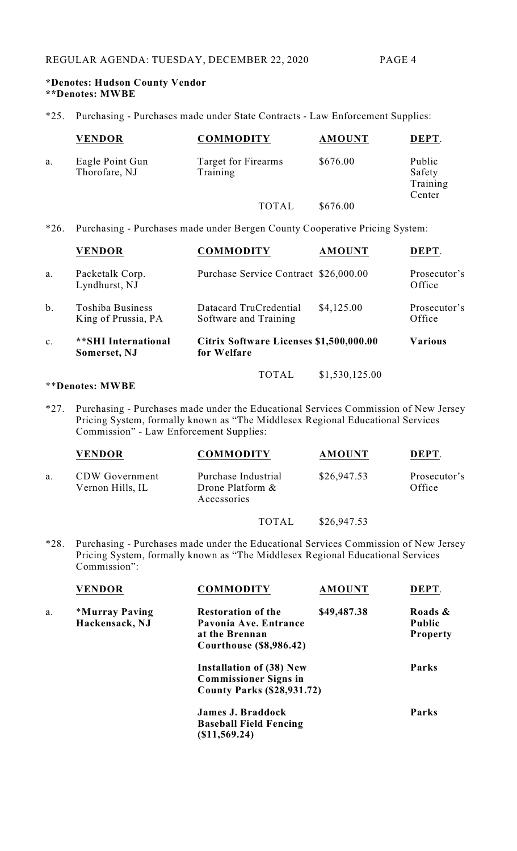## **\*Denotes: Hudson County Vendor \*\*Denotes: MWBE**

\*25. Purchasing - Purchases made under State Contracts - Law Enforcement Supplies:

|    | <b>VENDOR</b>                    | <b>COMMODITY</b>                | <b>AMOUNT</b> | DEPT.                                  |
|----|----------------------------------|---------------------------------|---------------|----------------------------------------|
| a. | Eagle Point Gun<br>Thorofare, NJ | Target for Firearms<br>Training | \$676.00      | Public<br>Safety<br>Training<br>Center |
|    |                                  | <b>TOTAL</b>                    | \$676.00      |                                        |

\*26. Purchasing - Purchases made under Bergen County Cooperative Pricing System:

|    | <b>VENDOR</b>                                  | <b>COMMODITY</b>                                       | <b>AMOUNT</b>  | DEPT.                  |
|----|------------------------------------------------|--------------------------------------------------------|----------------|------------------------|
| a. | Packetalk Corp.<br>Lyndhurst, NJ               | Purchase Service Contract \$26,000.00                  |                | Prosecutor's<br>Office |
| b. | <b>Toshiba Business</b><br>King of Prussia, PA | Datacard TruCredential<br>Software and Training        | \$4,125.00     | Prosecutor's<br>Office |
| c. | **SHI International<br>Somerset, NJ            | Citrix Software Licenses \$1,500,000.00<br>for Welfare |                | <b>Various</b>         |
|    |                                                | TOTAL                                                  | \$1,530,125.00 |                        |

### \*\***Denotes: MWBE**

\*27. Purchasing - Purchases made under the Educational Services Commission of New Jersey Pricing System, formally known as "The Middlesex Regional Educational Services Commission" - Law Enforcement Supplies:

|    | <b>VENDOR</b>                             | <b>COMMODITY</b>                                       | <b>AMOUNT</b> | DEPT.                  |
|----|-------------------------------------------|--------------------------------------------------------|---------------|------------------------|
| a. | <b>CDW</b> Government<br>Vernon Hills, IL | Purchase Industrial<br>Drone Platform &<br>Accessories | \$26,947.53   | Prosecutor's<br>Office |
|    |                                           | TOTAL                                                  | \$26,947.53   |                        |

\*28. Purchasing - Purchases made under the Educational Services Commission of New Jersey Pricing System, formally known as "The Middlesex Regional Educational Services Commission":

|    | <b>VENDOR</b>                | <b>COMMODITY</b>                  | <b>AMOUNT</b> | DEPT.           |
|----|------------------------------|-----------------------------------|---------------|-----------------|
| a. | <i><b>*Murray Paving</b></i> | <b>Restoration of the</b>         | \$49,487.38   | Roads &         |
|    | Hackensack, NJ               | Pavonia Ave. Entrance             |               | <b>Public</b>   |
|    |                              | at the Brennan                    |               | <b>Property</b> |
|    |                              | <b>Courthouse (\$8,986.42)</b>    |               |                 |
|    |                              | <b>Installation of (38) New</b>   |               | Parks           |
|    |                              | <b>Commissioner Signs in</b>      |               |                 |
|    |                              | <b>County Parks (\$28,931.72)</b> |               |                 |
|    |                              | <b>James J. Braddock</b>          |               | Parks           |
|    |                              | <b>Baseball Field Fencing</b>     |               |                 |
|    |                              | (\$11,569.24)                     |               |                 |
|    |                              |                                   |               |                 |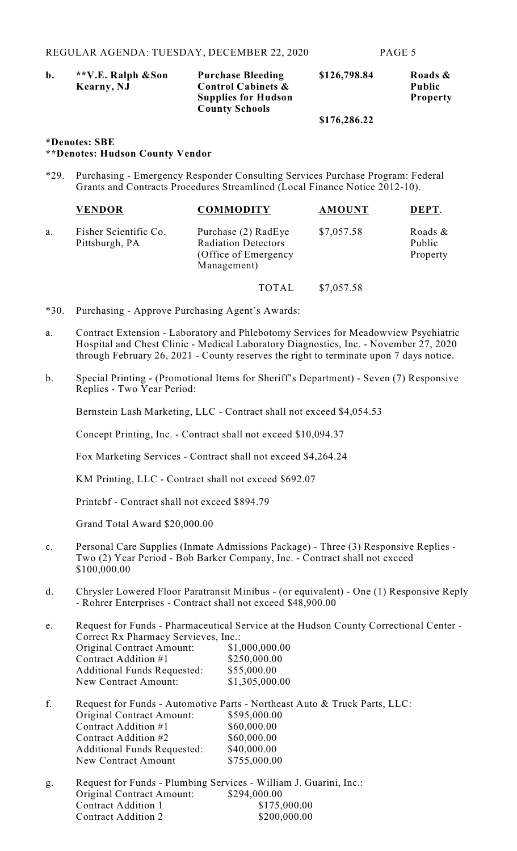| b. | **V.E. Ralph & Son | <b>Purchase Bleeding</b>      | \$126,798.84 | Roads &         |
|----|--------------------|-------------------------------|--------------|-----------------|
|    | Kearny, NJ         | <b>Control Cabinets &amp;</b> |              | <b>Public</b>   |
|    |                    | <b>Supplies for Hudson</b>    |              | <b>Property</b> |
|    |                    | <b>County Schools</b>         |              |                 |
|    |                    |                               | \$176,286.22 |                 |

#### **\*Denotes: SBE \*\*Denotes: Hudson County Vendor**

\*29. Purchasing - Emergency Responder Consulting Services Purchase Program: Federal Grants and Contracts Procedures Streamlined (Local Finance Notice 2012-10).

|    | <b>VENDOR</b>                           | <b>COMMODITY</b>                                                                          | <b>AMOUNT</b> | DEPT.                         |
|----|-----------------------------------------|-------------------------------------------------------------------------------------------|---------------|-------------------------------|
| a. | Fisher Scientific Co.<br>Pittsburgh, PA | Purchase (2) RadEye<br><b>Radiation Detectors</b><br>(Office of Emergency)<br>Management) | \$7,057.58    | Roads &<br>Public<br>Property |
|    |                                         | <b>TOTAL</b>                                                                              | \$7,057.58    |                               |

- \*30. Purchasing Approve Purchasing Agent's Awards:
- a. Contract Extension Laboratory and Phlebotomy Services for Meadowview Psychiatric Hospital and Chest Clinic - Medical Laboratory Diagnostics, Inc. - November 27, 2020 through February 26, 2021 - County reserves the right to terminate upon 7 days notice.
- b. Special Printing (Promotional Items for Sheriff's Department) Seven (7) Responsive Replies - Two Year Period:

Bernstein Lash Marketing, LLC - Contract shall not exceed \$4,054.53

Concept Printing, Inc. - Contract shall not exceed \$10,094.37

Fox Marketing Services - Contract shall not exceed \$4,264.24

KM Printing, LLC - Contract shall not exceed \$692.07

Printcbf - Contract shall not exceed \$894.79

Grand Total Award \$20,000.00

New Contract Amount

- c. Personal Care Supplies (Inmate Admissions Package) Three (3) Responsive Replies Two (2) Year Period - Bob Barker Company, Inc. - Contract shall not exceed \$100,000.00
- d. Chrysler Lowered Floor Paratransit Minibus (or equivalent) One (1) Responsive Reply - Rohrer Enterprises - Contract shall not exceed \$48,900.00

e. Request for Funds - Pharmaceutical Service at the Hudson County Correctional Center - Correct Rx Pharmacy Servicves, Inc.:<br>Original Contract Amount: \$1,000,000.00 Original Contract Amount: \$1,000,000.00<br>Contract Addition #1 \$250,000.00 Contract Addition #1 \$250,000.0<br>Additional Funds Requested: \$55,000.00 Additional Funds Requested: New Contract Amount: \$1,305,000.00 f. Request for Funds - Automotive Parts - Northeast Auto & Truck Parts, LLC:<br>Original Contract Amount: \$595,000.00 Original Contract Amount: Contract Addition  $#1$  \$60,000.00 Contract Addition  $#2$  \$60,000.00 Additional Funds Requested: \$40,000.00<br>New Contract Amount \$755,000.00

g. Request for Funds - Plumbing Services - William J. Guarini, Inc.: Original Contract Amount: \$294,000.00 Contract Addition 1 \$175,000.00 Contract Addition 2 \$200,000.00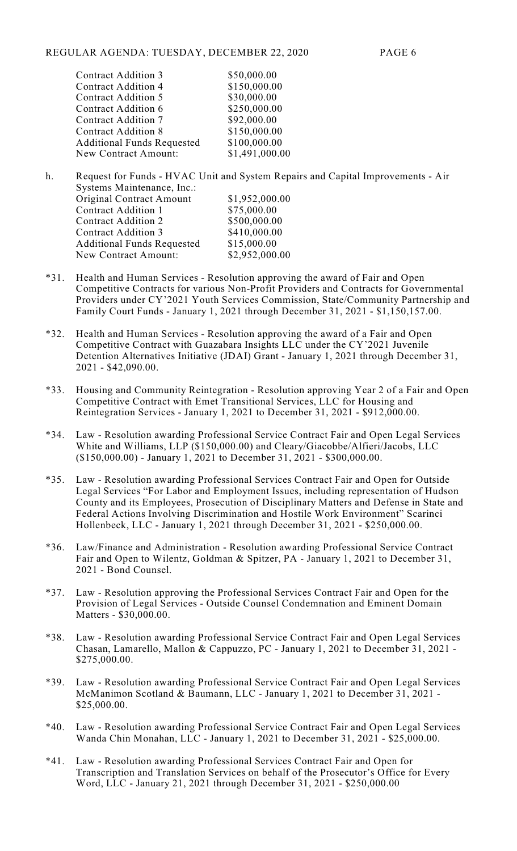| <b>Contract Addition 3</b>        | \$50,000.00    |
|-----------------------------------|----------------|
| <b>Contract Addition 4</b>        | \$150,000.00   |
| <b>Contract Addition 5</b>        | \$30,000.00    |
| Contract Addition 6               | \$250,000.00   |
| <b>Contract Addition 7</b>        | \$92,000.00    |
| <b>Contract Addition 8</b>        | \$150,000.00   |
| <b>Additional Funds Requested</b> | \$100,000.00   |
| New Contract Amount:              | \$1,491,000.00 |
|                                   |                |

- h. Request for Funds HVAC Unit and System Repairs and Capital Improvements Air Systems Maintenance, Inc.: Original Contract Amount \$1,952,000.00<br>Contract Addition 1 \$75,000.00 Contract Addition 1 Contract Addition 2 \$500,000.00 Contract Addition 3 \$410,000.00 Additional Funds Requested \$15,000.00 New Contract Amount: \$2,952,000.00
- \*31. Health and Human Services Resolution approving the award of Fair and Open Competitive Contracts for various Non-Profit Providers and Contracts for Governmental Providers under CY'2021 Youth Services Commission, State/Community Partnership and Family Court Funds - January 1, 2021 through December 31, 2021 - \$1,150,157.00.
- \*32. Health and Human Services Resolution approving the award of a Fair and Open Competitive Contract with Guazabara Insights LLC under the CY'2021 Juvenile Detention Alternatives Initiative (JDAI) Grant - January 1, 2021 through December 31, 2021 - \$42,090.00.
- \*33. Housing and Community Reintegration Resolution approving Year 2 of a Fair and Open Competitive Contract with Emet Transitional Services, LLC for Housing and Reintegration Services - January 1, 2021 to December 31, 2021 - \$912,000.00.
- \*34. Law Resolution awarding Professional Service Contract Fair and Open Legal Services White and Williams, LLP (\$150,000.00) and Cleary/Giacobbe/Alfieri/Jacobs, LLC (\$150,000.00) - January 1, 2021 to December 31, 2021 - \$300,000.00.
- \*35. Law Resolution awarding Professional Services Contract Fair and Open for Outside Legal Services "For Labor and Employment Issues, including representation of Hudson County and its Employees, Prosecution of Disciplinary Matters and Defense in State and Federal Actions Involving Discrimination and Hostile Work Environment" Scarinci Hollenbeck, LLC - January 1, 2021 through December 31, 2021 - \$250,000.00.
- \*36. Law/Finance and Administration Resolution awarding Professional Service Contract Fair and Open to Wilentz, Goldman & Spitzer, PA - January 1, 2021 to December 31, 2021 - Bond Counsel.
- \*37. Law Resolution approving the Professional Services Contract Fair and Open for the Provision of Legal Services - Outside Counsel Condemnation and Eminent Domain Matters - \$30,000.00.
- \*38. Law Resolution awarding Professional Service Contract Fair and Open Legal Services Chasan, Lamarello, Mallon & Cappuzzo, PC - January 1, 2021 to December 31, 2021 - \$275,000.00.
- \*39. Law Resolution awarding Professional Service Contract Fair and Open Legal Services McManimon Scotland & Baumann, LLC - January 1, 2021 to December 31, 2021 - \$25,000.00.
- \*40. Law Resolution awarding Professional Service Contract Fair and Open Legal Services Wanda Chin Monahan, LLC - January 1, 2021 to December 31, 2021 - \$25,000.00.
- \*41. Law Resolution awarding Professional Services Contract Fair and Open for Transcription and Translation Services on behalf of the Prosecutor's Office for Every Word, LLC - January 21, 2021 through December 31, 2021 - \$250,000.00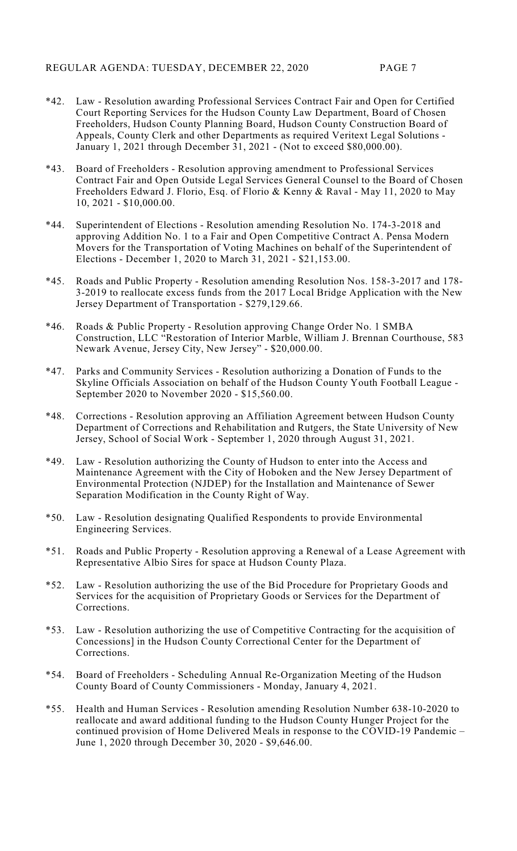- \*42. Law Resolution awarding Professional Services Contract Fair and Open for Certified Court Reporting Services for the Hudson County Law Department, Board of Chosen Freeholders, Hudson County Planning Board, Hudson County Construction Board of Appeals, County Clerk and other Departments as required Veritext Legal Solutions - January 1, 2021 through December 31, 2021 - (Not to exceed \$80,000.00).
- \*43. Board of Freeholders Resolution approving amendment to Professional Services Contract Fair and Open Outside Legal Services General Counsel to the Board of Chosen Freeholders Edward J. Florio, Esq. of Florio & Kenny & Raval - May 11, 2020 to May 10, 2021 - \$10,000.00.
- \*44. Superintendent of Elections Resolution amending Resolution No. 174-3-2018 and approving Addition No. 1 to a Fair and Open Competitive Contract A. Pensa Modern Movers for the Transportation of Voting Machines on behalf of the Superintendent of Elections - December 1, 2020 to March 31, 2021 - \$21,153.00.
- \*45. Roads and Public Property Resolution amending Resolution Nos. 158-3-2017 and 178- 3-2019 to reallocate excess funds from the 2017 Local Bridge Application with the New Jersey Department of Transportation - \$279,129.66.
- \*46. Roads & Public Property Resolution approving Change Order No. 1 SMBA Construction, LLC "Restoration of Interior Marble, William J. Brennan Courthouse, 583 Newark Avenue, Jersey City, New Jersey" - \$20,000.00.
- \*47. Parks and Community Services Resolution authorizing a Donation of Funds to the Skyline Officials Association on behalf of the Hudson County Youth Football League - September 2020 to November 2020 - \$15,560.00.
- \*48. Corrections Resolution approving an Affiliation Agreement between Hudson County Department of Corrections and Rehabilitation and Rutgers, the State University of New Jersey, School of Social Work - September 1, 2020 through August 31, 2021.
- \*49. Law Resolution authorizing the County of Hudson to enter into the Access and Maintenance Agreement with the City of Hoboken and the New Jersey Department of Environmental Protection (NJDEP) for the Installation and Maintenance of Sewer Separation Modification in the County Right of Way.
- \*50. Law Resolution designating Qualified Respondents to provide Environmental Engineering Services.
- \*51. Roads and Public Property Resolution approving a Renewal of a Lease Agreement with Representative Albio Sires for space at Hudson County Plaza.
- \*52. Law Resolution authorizing the use of the Bid Procedure for Proprietary Goods and Services for the acquisition of Proprietary Goods or Services for the Department of Corrections.
- \*53. Law Resolution authorizing the use of Competitive Contracting for the acquisition of Concessions] in the Hudson County Correctional Center for the Department of Corrections.
- \*54. Board of Freeholders Scheduling Annual Re-Organization Meeting of the Hudson County Board of County Commissioners - Monday, January 4, 2021.
- \*55. Health and Human Services Resolution amending Resolution Number 638-10-2020 to reallocate and award additional funding to the Hudson County Hunger Project for the continued provision of Home Delivered Meals in response to the COVID-19 Pandemic – June 1, 2020 through December 30, 2020 - \$9,646.00.